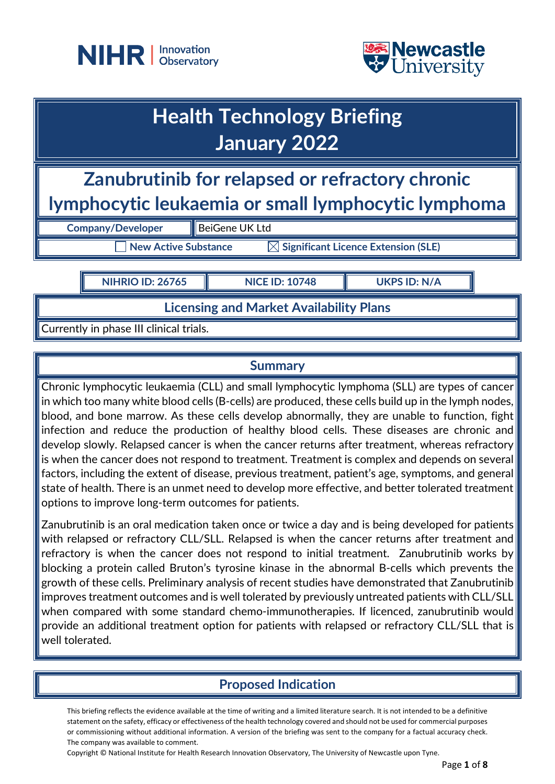



# **Health Technology Briefing January 2022**

**Zanubrutinib for relapsed or refractory chronic lymphocytic leukaemia or small lymphocytic lymphoma**

| <b>Company/Developer</b> | BeiGene UK Ltd                                  |
|--------------------------|-------------------------------------------------|
| New Active Substance     | $\boxtimes$ Significant Licence Extension (SLE) |

**NIHRIO ID: 26765 NICE ID: 10748 UKPS ID: N/A**

**Licensing and Market Availability Plans**

Currently in phase III clinical trials.

## **Summary**

Chronic lymphocytic leukaemia (CLL) and small lymphocytic lymphoma (SLL) are types of cancer in which too many white blood cells (B-cells) are produced, these cells build up in the lymph nodes, blood, and bone marrow. As these cells develop abnormally, they are unable to function, fight infection and reduce the production of healthy blood cells. These diseases are chronic and develop slowly. Relapsed cancer is when the cancer returns after treatment, whereas refractory is when the cancer does not respond to treatment. Treatment is complex and depends on several factors, including the extent of disease, previous treatment, patient's age, symptoms, and general state of health. There is an unmet need to develop more effective, and better tolerated treatment options to improve long-term outcomes for patients.

Zanubrutinib is an oral medication taken once or twice a day and is being developed for patients with relapsed or refractory CLL/SLL. Relapsed is when the cancer returns after treatment and refractory is when the cancer does not respond to initial treatment. Zanubrutinib works by blocking a protein called Bruton's tyrosine kinase in the abnormal B-cells which prevents the growth of these cells. Preliminary analysis of recent studies have demonstrated that Zanubrutinib improves treatment outcomes and is well tolerated by previously untreated patients with CLL/SLL when compared with some standard chemo-immunotherapies. If licenced, zanubrutinib would provide an additional treatment option for patients with relapsed or refractory CLL/SLL that is well tolerated.

# **Proposed Indication**

This briefing reflects the evidence available at the time of writing and a limited literature search. It is not intended to be a definitive statement on the safety, efficacy or effectiveness of the health technology covered and should not be used for commercial purposes or commissioning without additional information. A version of the briefing was sent to the company for a factual accuracy check. The company was available to comment.

Copyright © National Institute for Health Research Innovation Observatory, The University of Newcastle upon Tyne.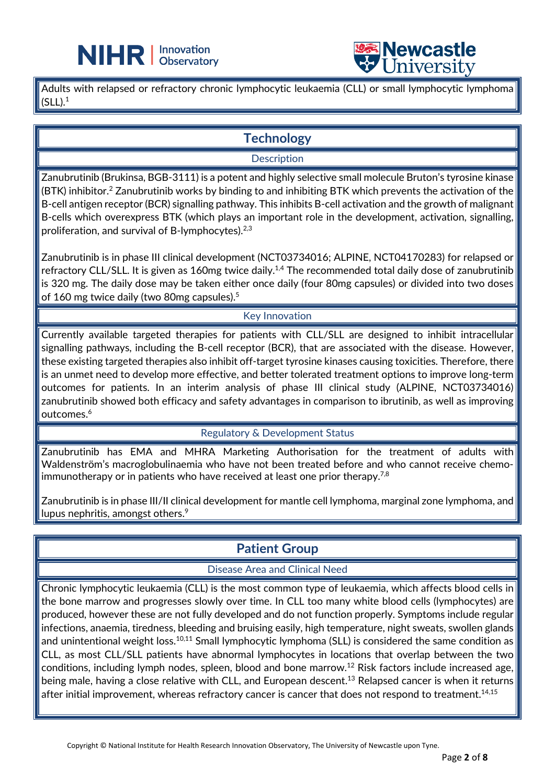

Adults with relapsed or refractory chronic lymphocytic leukaemia (CLL) or small lymphocytic lymphoma  $(SLL).<sup>1</sup>$ 

L

# **Technology**

#### **Description**

Zanubrutinib (Brukinsa, BGB-3111) is a potent and highly selective small molecule Bruton's tyrosine kinase (BTK) inhibitor.2 Zanubrutinib works by binding to and inhibiting BTK which prevents the activation of the B-cell antigen receptor (BCR) signalling pathway. This inhibits B-cell activation and the growth of malignant B-cells which overexpress BTK (which plays an important role in the development, activation, signalling, proliferation, and survival of B-lymphocytes).<sup>2,3</sup>

Zanubrutinib is in phase III clinical development (NCT03734016; ALPINE, NCT04170283) for relapsed or refractory CLL/SLL. It is given as 160mg twice daily.<sup>1,4</sup> The recommended total daily dose of zanubrutinib is 320 mg. The daily dose may be taken either once daily (four 80mg capsules) or divided into two doses of 160 mg twice daily (two 80mg capsules).<sup>5</sup>

#### Key Innovation

Currently available targeted therapies for patients with CLL/SLL are designed to inhibit intracellular signalling pathways, including the B-cell receptor (BCR), that are associated with the disease. However, these existing targeted therapies also inhibit off-target tyrosine kinases causing toxicities. Therefore, there is an unmet need to develop more effective, and better tolerated treatment options to improve long-term outcomes for patients. In an interim analysis of phase III clinical study (ALPINE, NCT03734016) zanubrutinib showed both efficacy and safety advantages in comparison to ibrutinib, as well as improving outcomes.<sup>6</sup>

#### Regulatory & Development Status

Zanubrutinib has EMA and MHRA Marketing Authorisation for the treatment of adults with Waldenström's macroglobulinaemia who have not been treated before and who cannot receive chemoimmunotherapy or in patients who have received at least one prior therapy.<sup>7,8</sup>

Zanubrutinib is in phase III/II clinical development for mantle cell lymphoma, marginal zone lymphoma, and lupus nephritis, amongst others.<sup>9</sup>

## **Patient Group**

#### Disease Area and Clinical Need

Chronic lymphocytic leukaemia (CLL) is the most common type of leukaemia, which affects blood cells in the bone marrow and progresses slowly over time. In CLL too many white blood cells (lymphocytes) are produced, however these are not fully developed and do not function properly. Symptoms include regular infections, anaemia, tiredness, bleeding and bruising easily, high temperature, night sweats, swollen glands and unintentional weight loss.<sup>10,11</sup> Small lymphocytic lymphoma (SLL) is considered the same condition as CLL, as most CLL/SLL patients have abnormal lymphocytes in locations that overlap between the two conditions, including lymph nodes, spleen, blood and bone marrow.12 Risk factors include increased age, being male, having a close relative with CLL, and European descent.<sup>13</sup> Relapsed cancer is when it returns after initial improvement, whereas refractory cancer is cancer that does not respond to treatment.<sup>14,15</sup>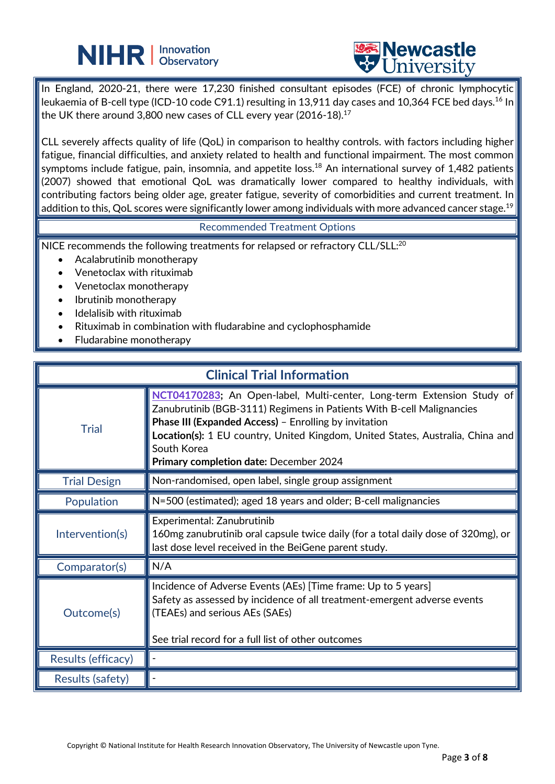# **NIHR** | Innovation



In England, 2020-21, there were 17,230 finished consultant episodes (FCE) of chronic lymphocytic leukaemia of B-cell type (ICD-10 code C91.1) resulting in 13,911 day cases and 10,364 FCE bed days.<sup>16</sup> In the UK there around 3,800 new cases of CLL every year (2016-18).<sup>17</sup>

CLL severely affects quality of life (QoL) in comparison to healthy controls. with factors including higher fatigue, financial difficulties, and anxiety related to health and functional impairment. The most common symptoms include fatigue, pain, insomnia, and appetite loss.<sup>18</sup> An international survey of 1,482 patients (2007) showed that emotional QoL was dramatically lower compared to healthy individuals, with contributing factors being older age, greater fatigue, severity of comorbidities and current treatment. In addition to this, QoL scores were significantly lower among individuals with more advanced cancer stage.<sup>19</sup>

#### Recommended Treatment Options

NICE recommends the following treatments for relapsed or refractory CLL/SLL:<sup>20</sup>

L

- Acalabrutinib monotherapy
- Venetoclax with rituximab
- Venetoclax monotherapy
- Ibrutinib monotherapy
- Idelalisib with rituximab
- Rituximab in combination with fludarabine and cyclophosphamide
- Fludarabine monotherapy

| <b>Clinical Trial Information</b> |                                                                                                                                                                                                                                                                                                                                                     |
|-----------------------------------|-----------------------------------------------------------------------------------------------------------------------------------------------------------------------------------------------------------------------------------------------------------------------------------------------------------------------------------------------------|
| <b>Trial</b>                      | NCT04170283; An Open-label, Multi-center, Long-term Extension Study of<br>Zanubrutinib (BGB-3111) Regimens in Patients With B-cell Malignancies<br>Phase III (Expanded Access) - Enrolling by invitation<br>Location(s): 1 EU country, United Kingdom, United States, Australia, China and<br>South Korea<br>Primary completion date: December 2024 |
| <b>Trial Design</b>               | Non-randomised, open label, single group assignment                                                                                                                                                                                                                                                                                                 |
| Population                        | N=500 (estimated); aged 18 years and older; B-cell malignancies                                                                                                                                                                                                                                                                                     |
| Intervention(s)                   | Experimental: Zanubrutinib<br>160mg zanubrutinib oral capsule twice daily (for a total daily dose of 320mg), or<br>last dose level received in the BeiGene parent study.                                                                                                                                                                            |
| Comparator(s)                     | N/A                                                                                                                                                                                                                                                                                                                                                 |
| Outcome(s)                        | Incidence of Adverse Events (AEs) [Time frame: Up to 5 years]<br>Safety as assessed by incidence of all treatment-emergent adverse events<br>(TEAEs) and serious AEs (SAEs)<br>See trial record for a full list of other outcomes                                                                                                                   |
| Results (efficacy)                |                                                                                                                                                                                                                                                                                                                                                     |
| Results (safety)                  |                                                                                                                                                                                                                                                                                                                                                     |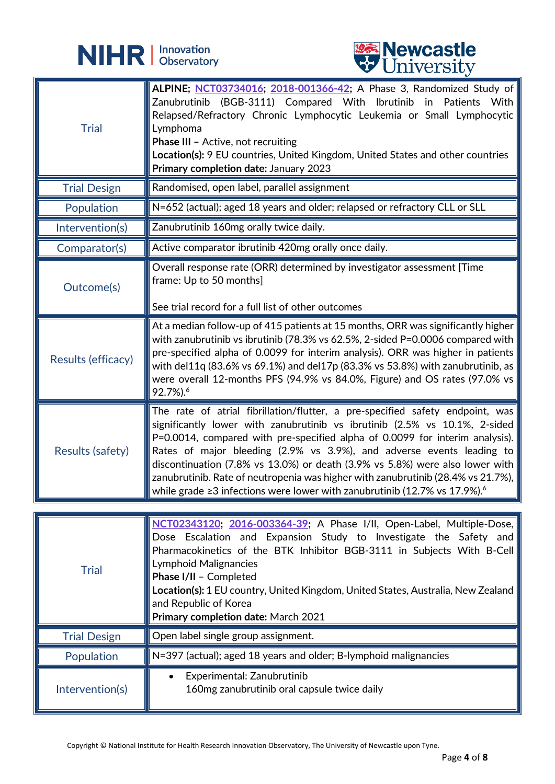



|                     | <b>CHITACTOTA</b>                                                                                                                                                                                                                                                                                                                                                                                                                                                                                                                                                                            |
|---------------------|----------------------------------------------------------------------------------------------------------------------------------------------------------------------------------------------------------------------------------------------------------------------------------------------------------------------------------------------------------------------------------------------------------------------------------------------------------------------------------------------------------------------------------------------------------------------------------------------|
| <b>Trial</b>        | ALPINE; NCT03734016; 2018-001366-42; A Phase 3, Randomized Study of<br>Zanubrutinib (BGB-3111) Compared With Ibrutinib in Patients With<br>Relapsed/Refractory Chronic Lymphocytic Leukemia or Small Lymphocytic<br>Lymphoma<br><b>Phase III - Active, not recruiting</b><br>Location(s): 9 EU countries, United Kingdom, United States and other countries<br>Primary completion date: January 2023                                                                                                                                                                                         |
| <b>Trial Design</b> | Randomised, open label, parallel assignment                                                                                                                                                                                                                                                                                                                                                                                                                                                                                                                                                  |
| Population          | N=652 (actual); aged 18 years and older; relapsed or refractory CLL or SLL                                                                                                                                                                                                                                                                                                                                                                                                                                                                                                                   |
| Intervention(s)     | Zanubrutinib 160mg orally twice daily.                                                                                                                                                                                                                                                                                                                                                                                                                                                                                                                                                       |
| Comparator(s)       | Active comparator ibrutinib 420mg orally once daily.                                                                                                                                                                                                                                                                                                                                                                                                                                                                                                                                         |
| Outcome(s)          | Overall response rate (ORR) determined by investigator assessment [Time<br>frame: Up to 50 months]<br>See trial record for a full list of other outcomes                                                                                                                                                                                                                                                                                                                                                                                                                                     |
|                     |                                                                                                                                                                                                                                                                                                                                                                                                                                                                                                                                                                                              |
| Results (efficacy)  | At a median follow-up of 415 patients at 15 months, ORR was significantly higher<br>with zanubrutinib vs ibrutinib (78.3% vs 62.5%, 2-sided P=0.0006 compared with<br>pre-specified alpha of 0.0099 for interim analysis). ORR was higher in patients<br>with del11q (83.6% vs 69.1%) and del17p (83.3% vs 53.8%) with zanubrutinib, as<br>were overall 12-months PFS (94.9% vs 84.0%, Figure) and OS rates (97.0% vs<br>92.7%). <sup>6</sup>                                                                                                                                                |
| Results (safety)    | The rate of atrial fibrillation/flutter, a pre-specified safety endpoint, was $\parallel$<br>significantly lower with zanubrutinib vs ibrutinib (2.5% vs 10.1%, 2-sided<br>P=0.0014, compared with pre-specified alpha of 0.0099 for interim analysis).<br>Rates of major bleeding (2.9% vs 3.9%), and adverse events leading to<br>discontinuation (7.8% vs 13.0%) or death (3.9% vs 5.8%) were also lower with<br>zanubrutinib. Rate of neutropenia was higher with zanubrutinib (28.4% vs 21.7%),<br>∥while grade ≥3 infections were lower with zanubrutinib (12.7% vs 17.9%). $^{\circ}$ |
|                     |                                                                                                                                                                                                                                                                                                                                                                                                                                                                                                                                                                                              |
| <b>Trial</b>        | NCT02343120; 2016-003364-39; A Phase I/II, Open-Label, Multiple-Dose,<br>Dose Escalation and Expansion Study to Investigate the Safety and<br>Pharmacokinetics of the BTK Inhibitor BGB-3111 in Subjects With B-Cell<br>Lymphoid Malignancies<br>Phase I/II - Completed<br>Location(s): 1 EU country, United Kingdom, United States, Australia, New Zealand<br>and Republic of Korea<br>Primary completion date: March 2021                                                                                                                                                                  |
| <b>Trial Design</b> | Open label single group assignment.                                                                                                                                                                                                                                                                                                                                                                                                                                                                                                                                                          |
| Population          | N=397 (actual); aged 18 years and older; B-lymphoid malignancies                                                                                                                                                                                                                                                                                                                                                                                                                                                                                                                             |
| Intervention(s)     | Experimental: Zanubrutinib<br>160mg zanubrutinib oral capsule twice daily                                                                                                                                                                                                                                                                                                                                                                                                                                                                                                                    |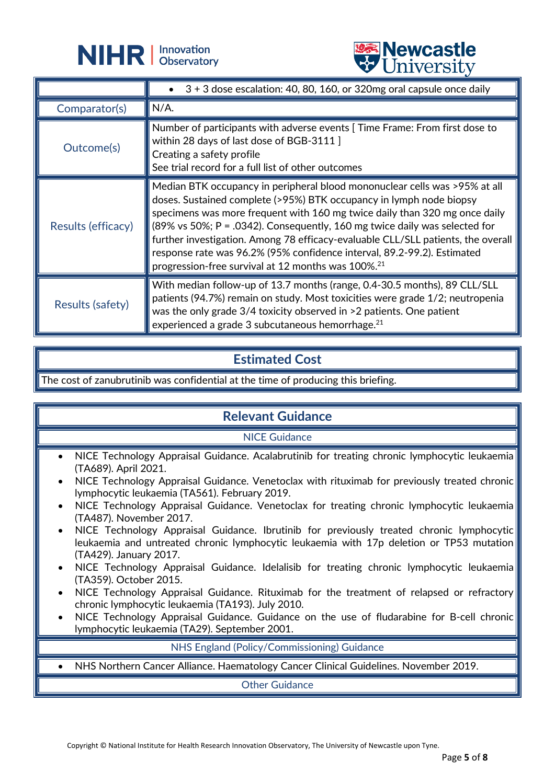



|                         | <b>OTHACTOIG</b>                                                                                                                                                                                                                                                                                                                                                                                                                                                                                                                                             |
|-------------------------|--------------------------------------------------------------------------------------------------------------------------------------------------------------------------------------------------------------------------------------------------------------------------------------------------------------------------------------------------------------------------------------------------------------------------------------------------------------------------------------------------------------------------------------------------------------|
|                         | $3 + 3$ dose escalation: 40, 80, 160, or 320mg oral capsule once daily                                                                                                                                                                                                                                                                                                                                                                                                                                                                                       |
| Comparator(s)           | $N/A$ .                                                                                                                                                                                                                                                                                                                                                                                                                                                                                                                                                      |
| Outcome(s)              | Number of participants with adverse events [Time Frame: From first dose to<br>within 28 days of last dose of BGB-3111 ]<br>Creating a safety profile<br>See trial record for a full list of other outcomes                                                                                                                                                                                                                                                                                                                                                   |
| Results (efficacy)      | Median BTK occupancy in peripheral blood mononuclear cells was >95% at all<br>doses. Sustained complete (>95%) BTK occupancy in lymph node biopsy<br>specimens was more frequent with 160 mg twice daily than 320 mg once daily<br>$(89\% \text{ vs } 50\%; P = .0342)$ . Consequently, 160 mg twice daily was selected for<br>further investigation. Among 78 efficacy-evaluable CLL/SLL patients, the overall<br>response rate was 96.2% (95% confidence interval, 89.2-99.2). Estimated<br>progression-free survival at 12 months was 100%. <sup>21</sup> |
| <b>Results (safety)</b> | With median follow-up of 13.7 months (range, 0.4-30.5 months), 89 CLL/SLL<br>patients (94.7%) remain on study. Most toxicities were grade 1/2; neutropenia<br>was the only grade 3/4 toxicity observed in >2 patients. One patient<br>experienced a grade 3 subcutaneous hemorrhage. <sup>21</sup>                                                                                                                                                                                                                                                           |

# **Estimated Cost**

The cost of zanubrutinib was confidential at the time of producing this briefing.

### **Relevant Guidance**

NICE Guidance

- NICE Technology Appraisal Guidance. Acalabrutinib for treating chronic lymphocytic leukaemia (TA689). April 2021.
- NICE Technology Appraisal Guidance. Venetoclax with rituximab for previously treated chronic lymphocytic leukaemia (TA561). February 2019.
- NICE Technology Appraisal Guidance. Venetoclax for treating chronic lymphocytic leukaemia (TA487). November 2017.
- NICE Technology Appraisal Guidance. Ibrutinib for previously treated chronic lymphocytic leukaemia and untreated chronic lymphocytic leukaemia with 17p deletion or TP53 mutation (TA429). January 2017.
- NICE Technology Appraisal Guidance. Idelalisib for treating chronic lymphocytic leukaemia (TA359). October 2015.
- NICE Technology Appraisal Guidance. Rituximab for the treatment of relapsed or refractory chronic lymphocytic leukaemia (TA193). July 2010.
- NICE Technology Appraisal Guidance. Guidance on the use of fludarabine for B-cell chronic lymphocytic leukaemia (TA29). September 2001.

NHS England (Policy/Commissioning) Guidance

• NHS Northern Cancer Alliance. Haematology Cancer Clinical Guidelines. November 2019.

Other Guidance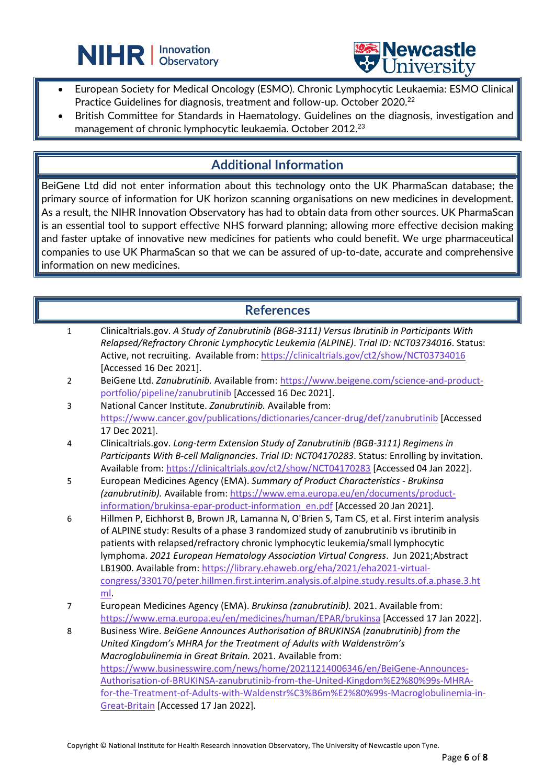



• European Society for Medical Oncology (ESMO). Chronic Lymphocytic Leukaemia: ESMO Clinical Practice Guidelines for diagnosis, treatment and follow-up. October 2020.<sup>22</sup>

L

British Committee for Standards in Haematology. Guidelines on the diagnosis, investigation and management of chronic lymphocytic leukaemia. October 2012. $^{\rm 23}$ 

### **Additional Information**

BeiGene Ltd did not enter information about this technology onto the UK PharmaScan database; the primary source of information for UK horizon scanning organisations on new medicines in development. As a result, the NIHR Innovation Observatory has had to obtain data from other sources. UK PharmaScan is an essential tool to support effective NHS forward planning; allowing more effective decision making and faster uptake of innovative new medicines for patients who could benefit. We urge pharmaceutical companies to use UK PharmaScan so that we can be assured of up-to-date, accurate and comprehensive information on new medicines.

### **References**

| $\mathbf{1}$   | Clinicaltrials.gov. A Study of Zanubrutinib (BGB-3111) Versus Ibrutinib in Participants With   |
|----------------|------------------------------------------------------------------------------------------------|
|                | Relapsed/Refractory Chronic Lymphocytic Leukemia (ALPINE). Trial ID: NCT03734016. Status:      |
|                | Active, not recruiting. Available from: https://clinicaltrials.gov/ct2/show/NCT03734016        |
|                | [Accessed 16 Dec 2021].                                                                        |
| $\overline{2}$ | BeiGene Ltd. Zanubrutinib. Available from: https://www.beigene.com/science-and-product-        |
|                | portfolio/pipeline/zanubrutinib [Accessed 16 Dec 2021].                                        |
| 3              | National Cancer Institute, Zanubrutinib. Available from:                                       |
|                | https://www.cancer.gov/publications/dictionaries/cancer-drug/def/zanubrutinib [Accessed        |
|                | 17 Dec 2021].                                                                                  |
| 4              | Clinicaltrials.gov. Long-term Extension Study of Zanubrutinib (BGB-3111) Regimens in           |
|                | Participants With B-cell Malignancies. Trial ID: NCT04170283. Status: Enrolling by invitation. |
|                | Available from: https://clinicaltrials.gov/ct2/show/NCT04170283 [Accessed 04 Jan 2022].        |
| 5              | European Medicines Agency (EMA). Summary of Product Characteristics - Brukinsa                 |
|                | (zanubrutinib). Available from: https://www.ema.europa.eu/en/documents/product-                |
|                | information/brukinsa-epar-product-information_en.pdf [Accessed 20 Jan 2021].                   |
| 6              | Hillmen P, Eichhorst B, Brown JR, Lamanna N, O'Brien S, Tam CS, et al. First interim analysis  |
|                | of ALPINE study: Results of a phase 3 randomized study of zanubrutinib vs ibrutinib in         |
|                | patients with relapsed/refractory chronic lymphocytic leukemia/small lymphocytic               |
|                | lymphoma. 2021 European Hematology Association Virtual Congress. Jun 2021; Abstract            |
|                | LB1900. Available from: https://library.ehaweb.org/eha/2021/eha2021-virtual-                   |
|                | congress/330170/peter.hillmen.first.interim.analysis.of.alpine.study.results.of.a.phase.3.ht   |
|                | ml.                                                                                            |
| 7              | European Medicines Agency (EMA). Brukinsa (zanubrutinib). 2021. Available from:                |
|                | https://www.ema.europa.eu/en/medicines/human/EPAR/brukinsa [Accessed 17 Jan 2022].             |
| 8              | Business Wire. BeiGene Announces Authorisation of BRUKINSA (zanubrutinib) from the             |
|                | United Kingdom's MHRA for the Treatment of Adults with Waldenström's                           |
|                | Macroglobulinemia in Great Britain. 2021. Available from:                                      |
|                | https://www.businesswire.com/news/home/20211214006346/en/BeiGene-Announces-                    |
|                | Authorisation-of-BRUKINSA-zanubrutinib-from-the-United-Kingdom%E2%80%99s-MHRA-                 |
|                | for-the-Treatment-of-Adults-with-Waldenstr%C3%B6m%E2%80%99s-Macroglobulinemia-in-              |
|                | Great-Britain [Accessed 17 Jan 2022].                                                          |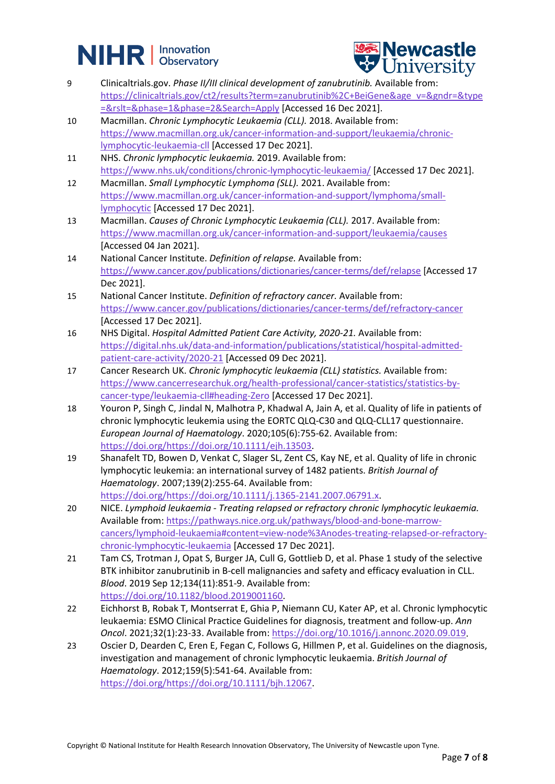# **NIHR** | Innovation



- 9 Clinicaltrials.gov. *Phase II/III clinical development of zanubrutinib.* Available from: [https://clinicaltrials.gov/ct2/results?term=zanubrutinib%2C+BeiGene&age\\_v=&gndr=&type](https://clinicaltrials.gov/ct2/results?term=zanubrutinib%2C+BeiGene&age_v=&gndr=&type=&rslt=&phase=1&phase=2&Search=Apply) [=&rslt=&phase=1&phase=2&Search=Apply](https://clinicaltrials.gov/ct2/results?term=zanubrutinib%2C+BeiGene&age_v=&gndr=&type=&rslt=&phase=1&phase=2&Search=Apply) [Accessed 16 Dec 2021].
- 10 Macmillan. *Chronic Lymphocytic Leukaemia (CLL).* 2018. Available from: [https://www.macmillan.org.uk/cancer-information-and-support/leukaemia/chronic](https://www.macmillan.org.uk/cancer-information-and-support/leukaemia/chronic-lymphocytic-leukaemia-cll)[lymphocytic-leukaemia-cll](https://www.macmillan.org.uk/cancer-information-and-support/leukaemia/chronic-lymphocytic-leukaemia-cll) [Accessed 17 Dec 2021].
- 11 NHS. *Chronic lymphocytic leukaemia.* 2019. Available from: <https://www.nhs.uk/conditions/chronic-lymphocytic-leukaemia/> [Accessed 17 Dec 2021].
- 12 Macmillan. *Small Lymphocytic Lymphoma (SLL).* 2021. Available from: [https://www.macmillan.org.uk/cancer-information-and-support/lymphoma/small](https://www.macmillan.org.uk/cancer-information-and-support/lymphoma/small-lymphocytic)[lymphocytic](https://www.macmillan.org.uk/cancer-information-and-support/lymphoma/small-lymphocytic) [Accessed 17 Dec 2021].
- 13 Macmillan. *Causes of Chronic Lymphocytic Leukaemia (CLL).* 2017. Available from: <https://www.macmillan.org.uk/cancer-information-and-support/leukaemia/causes> [Accessed 04 Jan 2021].
- 14 National Cancer Institute. *Definition of relapse.* Available from: <https://www.cancer.gov/publications/dictionaries/cancer-terms/def/relapse> [Accessed 17 Dec 2021].
- 15 National Cancer Institute. *Definition of refractory cancer.* Available from: <https://www.cancer.gov/publications/dictionaries/cancer-terms/def/refractory-cancer> [Accessed 17 Dec 2021].
- 16 NHS Digital. *Hospital Admitted Patient Care Activity, 2020-21.* Available from: [https://digital.nhs.uk/data-and-information/publications/statistical/hospital-admitted](https://digital.nhs.uk/data-and-information/publications/statistical/hospital-admitted-patient-care-activity/2020-21)[patient-care-activity/2020-21](https://digital.nhs.uk/data-and-information/publications/statistical/hospital-admitted-patient-care-activity/2020-21) [Accessed 09 Dec 2021].
- 17 Cancer Research UK. *Chronic lymphocytic leukaemia (CLL) statistics.* Available from: [https://www.cancerresearchuk.org/health-professional/cancer-statistics/statistics-by](https://www.cancerresearchuk.org/health-professional/cancer-statistics/statistics-by-cancer-type/leukaemia-cll#heading-Zero)[cancer-type/leukaemia-cll#heading-Zero](https://www.cancerresearchuk.org/health-professional/cancer-statistics/statistics-by-cancer-type/leukaemia-cll#heading-Zero) [Accessed 17 Dec 2021].
- 18 Youron P, Singh C, Jindal N, Malhotra P, Khadwal A, Jain A, et al. Quality of life in patients of chronic lymphocytic leukemia using the EORTC QLQ-C30 and QLQ-CLL17 questionnaire. *European Journal of Haematology*. 2020;105(6):755-62. Available from: [https://doi.org/https://doi.org/10.1111/ejh.13503.](https://doi.org/https:/doi.org/10.1111/ejh.13503)
- 19 Shanafelt TD, Bowen D, Venkat C, Slager SL, Zent CS, Kay NE, et al. Quality of life in chronic lymphocytic leukemia: an international survey of 1482 patients. *British Journal of Haematology*. 2007;139(2):255-64. Available from: [https://doi.org/https://doi.org/10.1111/j.1365-2141.2007.06791.x.](https://doi.org/https:/doi.org/10.1111/j.1365-2141.2007.06791.x)
- 20 NICE. *Lymphoid leukaemia - Treating relapsed or refractory chronic lymphocytic leukaemia.* Available from: [https://pathways.nice.org.uk/pathways/blood-and-bone-marrow](https://pathways.nice.org.uk/pathways/blood-and-bone-marrow-cancers/lymphoid-leukaemia#content=view-node%3Anodes-treating-relapsed-or-refractory-chronic-lymphocytic-leukaemia)[cancers/lymphoid-leukaemia#content=view-node%3Anodes-treating-relapsed-or-refractory](https://pathways.nice.org.uk/pathways/blood-and-bone-marrow-cancers/lymphoid-leukaemia#content=view-node%3Anodes-treating-relapsed-or-refractory-chronic-lymphocytic-leukaemia)[chronic-lymphocytic-leukaemia](https://pathways.nice.org.uk/pathways/blood-and-bone-marrow-cancers/lymphoid-leukaemia#content=view-node%3Anodes-treating-relapsed-or-refractory-chronic-lymphocytic-leukaemia) [Accessed 17 Dec 2021].
- 21 Tam CS, Trotman J, Opat S, Burger JA, Cull G, Gottlieb D, et al. Phase 1 study of the selective BTK inhibitor zanubrutinib in B-cell malignancies and safety and efficacy evaluation in CLL. *Blood*. 2019 Sep 12;134(11):851-9. Available from: [https://doi.org/10.1182/blood.2019001160.](https://doi.org/10.1182/blood.2019001160)
- 22 Eichhorst B, Robak T, Montserrat E, Ghia P, Niemann CU, Kater AP, et al. Chronic lymphocytic leukaemia: ESMO Clinical Practice Guidelines for diagnosis, treatment and follow-up. *Ann Oncol*. 2021;32(1):23-33. Available from: [https://doi.org/10.1016/j.annonc.2020.09.019.](https://doi.org/10.1016/j.annonc.2020.09.019)
- 23 Oscier D, Dearden C, Eren E, Fegan C, Follows G, Hillmen P, et al. Guidelines on the diagnosis, investigation and management of chronic lymphocytic leukaemia. *British Journal of Haematology*. 2012;159(5):541-64. Available from: [https://doi.org/https://doi.org/10.1111/bjh.12067.](https://doi.org/https:/doi.org/10.1111/bjh.12067)